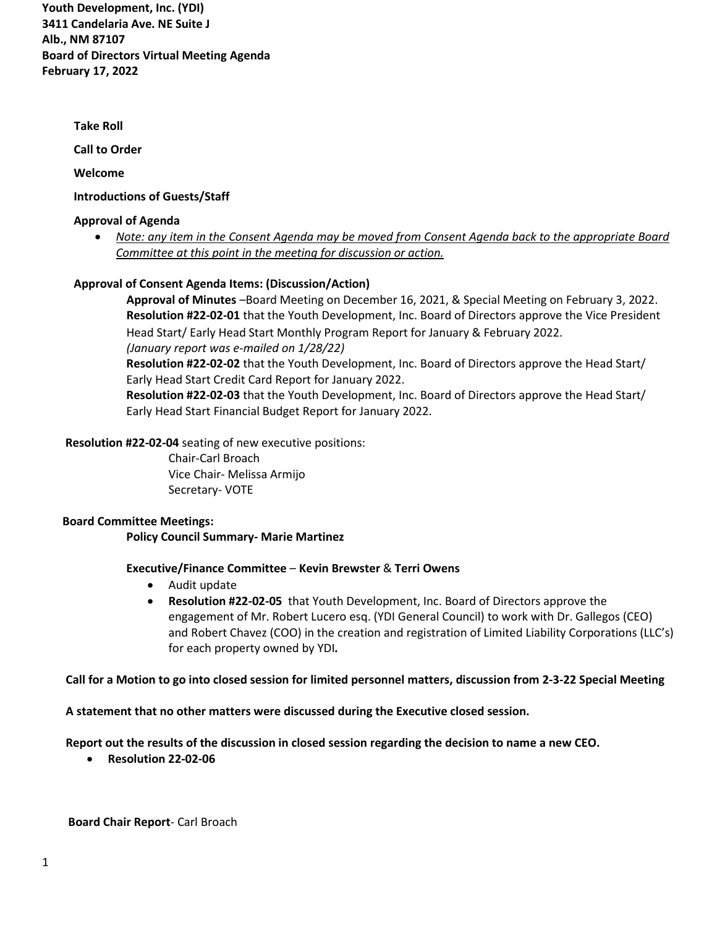**Youth Development, Inc. (YDI) 3411 Candelaria Ave. NE Suite J Alb., NM 87107 Board of Directors Virtual Meeting Agenda February 17, 2022**

 **Take Roll** 

**Call to Order**

**Welcome**

### **Introductions of Guests/Staff**

#### **Approval of Agenda**

• *Note: any item in the Consent Agenda may be moved from Consent Agenda back to the appropriate Board Committee at this point in the meeting for discussion or action.* 

## **Approval of Consent Agenda Items: (Discussion/Action)**

**Approval of Minutes** –Board Meeting on December 16, 2021, & Special Meeting on February 3, 2022. **Resolution #22-02-01** that the Youth Development, Inc. Board of Directors approve the Vice President Head Start/ Early Head Start Monthly Program Report for January & February 2022. *(January report was e-mailed on 1/28/22)*

**Resolution #22-02-02** that the Youth Development, Inc. Board of Directors approve the Head Start/ Early Head Start Credit Card Report for January 2022.

**Resolution #22-02-03** that the Youth Development, Inc. Board of Directors approve the Head Start/ Early Head Start Financial Budget Report for January 2022.

 **Resolution #22-02-04** seating of new executive positions:

Chair-Carl Broach Vice Chair- Melissa Armijo Secretary- VOTE

# **Board Committee Meetings:**

**Policy Council Summary- Marie Martinez** 

## **Executive/Finance Committee** – **Kevin Brewster** & **Terri Owens**

- Audit update
- **Resolution #22-02-05** that Youth Development, Inc. Board of Directors approve the engagement of Mr. Robert Lucero esq. (YDI General Council) to work with Dr. Gallegos (CEO) and Robert Chavez (COO) in the creation and registration of Limited Liability Corporations (LLC's) for each property owned by YDI*.*

## **Call for a Motion to go into closed session for limited personnel matters, discussion from 2-3-22 Special Meeting**

**A statement that no other matters were discussed during the Executive closed session.** 

**Report out the results of the discussion in closed session regarding the decision to name a new CEO.** 

• **Resolution 22-02-06** 

 **Board Chair Report**- Carl Broach